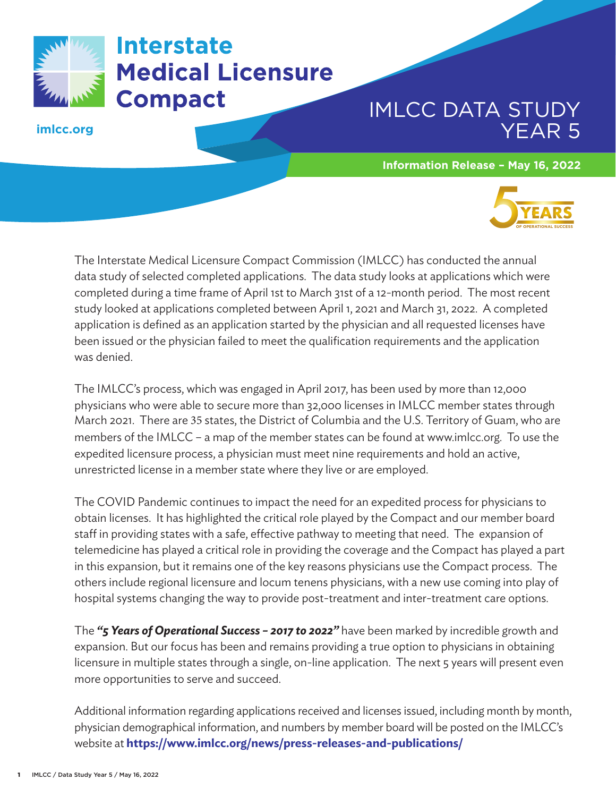

Interstate **Medical Licensure Compact** 

**imlcc.org**

## IMLCC DATA STUDY YEAR 5

**Information Release – May 16, 2022**



The Interstate Medical Licensure Compact Commission (IMLCC) has conducted the annual data study of selected completed applications. The data study looks at applications which were completed during a time frame of April 1st to March 31st of a 12-month period. The most recent study looked at applications completed between April 1, 2021 and March 31, 2022. A completed application is defined as an application started by the physician and all requested licenses have been issued or the physician failed to meet the qualification requirements and the application was denied.

The IMLCC's process, which was engaged in April 2017, has been used by more than 12,000 physicians who were able to secure more than 32,000 licenses in IMLCC member states through March 2021. There are 35 states, the District of Columbia and the U.S. Territory of Guam, who are members of the IMLCC – a map of the member states can be found at www.imlcc.org. To use the expedited licensure process, a physician must meet nine requirements and hold an active, unrestricted license in a member state where they live or are employed.

The COVID Pandemic continues to impact the need for an expedited process for physicians to obtain licenses. It has highlighted the critical role played by the Compact and our member board staff in providing states with a safe, effective pathway to meeting that need. The expansion of telemedicine has played a critical role in providing the coverage and the Compact has played a part in this expansion, but it remains one of the key reasons physicians use the Compact process. The others include regional licensure and locum tenens physicians, with a new use coming into play of hospital systems changing the way to provide post-treatment and inter-treatment care options.

The *"5 Years of Operational Success – 2017 to 2022"* have been marked by incredible growth and expansion. But our focus has been and remains providing a true option to physicians in obtaining licensure in multiple states through a single, on-line application. The next 5 years will present even more opportunities to serve and succeed.

Additional information regarding applications received and licenses issued, including month by month, physician demographical information, and numbers by member board will be posted on the IMLCC's website at **https://www.imlcc.org/news/press-releases-and-publications/**